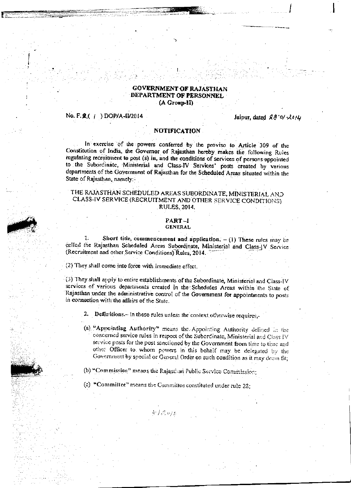#### **GOVERNMENT OF RAJASTHAN** DEPARTMENT OF PERSONNEL (A Group-II)

#### No. F. **2**(1) DOP/A-II/2014

Jaipur, dated 28'0/2014

#### **NOTIFICATION**

In exercise of the powers conferred by the proviso to Article 309 of the Constitution of India, the Governor of Rajasthan hereby makes the following Rules regulating recruitment to post (s) in, and the conditions of services of persons appointed to the Subordinate, Ministerial and Class-IV Services' posts created by various departments of the Government of Rajasthan for the Scheduled Areas situated within the State of Rajasthan, namely:-

#### THE RAJASTHAN SCHEDULED AREAS SUBORDINATE, MINISTERIAL AND CLASS-IV SERVICE (RECRUITMENT AND OTHER SERVICE CONDITIONS) RULES, 2014.

#### PART-I **GENERAL**

1: Short title, commencement and application.  $- (1)$  These rules may be called the Rajasthan Scheduled Areas Subordinate, Ministerial and Class-JV Service. (Recruitment and other Service Conditions) Rules, 2014.

(2) They shall come into force with immediate effect.

(3) They shall apply to entire establishments of the Subordinate, Ministerial and Class-IV services of various departments created in the Schedules Areas within the State of Rajasthan under the administrative control of the Government for appointments to posts in connection with the affairs of the State.

2. Definitions.- In these rules unless the context otherwise requires,-

(a) "Appointing Authority" means the Appointing Authority defined in the concerned service rules in respect of the Subordinate, Ministerial and Class IV service posts for the post sanctioned by the Government from time to time and other Officer to whom powers in this behalf may be delegated by the Government by special or General Order on such condition as it may deem fit;

(b) "Commission" means the Rajasthan Public Service Commission;

(c) "Committee" means the Committee constituted under rule 28;

 $4\pi\mathcal{L}_{N/L}$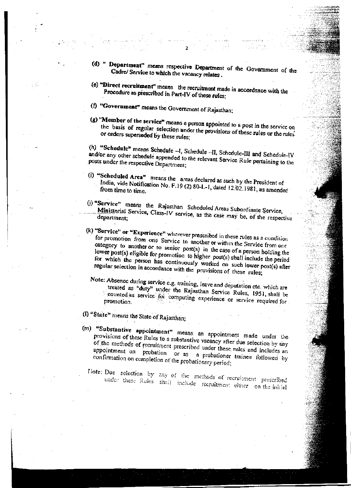Department" means respective Department of the Government of the Cadre/ Service to which the vacancy relates.

 $\overline{ }$ 

- (e) "Direct recruitment" means the recruitment made in accordance with the Procedure as prescribed in Part-IV of these rules;
- (f) "Government" means the Government of Rajasthan;
- (g) "Member of the service" means a person appointed to a post in the service on the basis of regular selection under the provisions of these rules or the rules' or orders superseded by these rules;

(h) "Schedule" means Schedule --I, Schedule --II, Schedule-III and Schedule-IV and/or any other schedule appended to the relevant Service Rule pertaining to the posts under the respective Department;

- (i) "Scheduled Area" means the areas declared as such by the President of India, vide Notification No. F.19 (2) 80-L-1, dated 12.02.1981, as amended
- (j) "Service" means the Rajasthan Scheduled Areas Subordinate Service, Ministerial Service, Class-IV service, as the case may be, of the respective
- (k) "Service" or "Experience" wherever prescribed in these rules as a condition for promotion from one Service to another or within the Service from one category to another or to senior post(s) in the case of a person holding the lower post(s) eligible for promotion to higher post(s) shall include the period for which the person has continuously worked on such lower post(s) after regular selection in accordance with the provisions of these rules;

Note: Absence during service e.g. training, leave and deputation etc. which are treated as "duty" under the Rajasthan Service Rules, 1951, shall be counted as service for computing experience or service required for promotion.

- (I) "State" means the State of Rajasthan;
- (m) "Substantive appointment" means an appointment made under the provisions of these Rules to a substantive vacancy after due selection by any of the methods of recruitment prescribed under these rules and includes an appointment on probation or as a probationer trainee followed by confirmation on completion of the probationary period;
	- Note: Due selection by any of the methods of recruitment prescribed under these Rules shall include recruitment either on the initial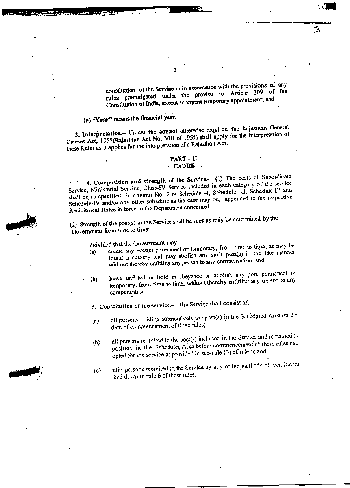constitution of the Service or in accordance with the provisions of any rules promulgated under the proviso to Article 309 of the Constitution of India, except an urgent temporary appointment; and

З

(n) "Year" means the financial year.

3. Interpretation.- Unless the context otherwise requires, the Rajasthan General Clauses Act, 1955(Rajasthan Act No. VIII of 1955) shall apply for the interpretation of these Rules as it applies for the interpretation of a Rajasthan Act.

#### PART – II **CADRE**

4. Composition and strength of the Service.- (1) The posts of Subordinate Service, Ministerial Service, Class-IV Service included in each category of the service shall be as specified in column No. 2 of Schedule -I, Schedule -II, Schedule-III and Schedule-IV and/or any other schedule as the case may be, appended to the respective Recruitment Rules in force in the Department concerned.

(2) Strength of the post(s) in the Service shall be such as may be determined by the Government from time to time:

Provided that the Government may-

- create any post(s) permanent or temporary, from time to time, as may be found necessary and may abolish any such post(s) in the like manner  $(a)$ without thereby entitling any person to any compensation; and
- leave unfilled or hold in abeyance or abolish any post permanent or temporary, from time to time, without thereby entitling any person to any  $(b)$ compensation.

5. Constitution of the service. The Service shall consist of,-

- all persons holding substantively the post(s) in the Scheduled Area on the  $(a)$ date of commencement of these rules;
- all persons recruited to the post(s) included in the Service and remained in  $(b)$ position in the Scheduled Area before commencement of these rules and opted for the service as provided in sub-rule (3) of rule 6; and
- all persons recruited to the Service by any of the methods of recruitment  $\left( c\right)$ laid down in rule 6 of these rules.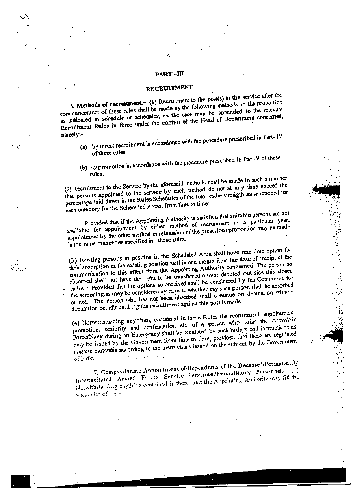#### PART –III

#### RECRUITMENT

6. Methods of recruitment.- (1) Recruitment to the post(s) in the service after the commencement of these rules shall be made by the following methods in the proportion as indicated in schedule or schedules, as the case may be, appended to the relevant Recruitment Rules in force under the control of the Head of Department concerned, namely:-

- (a) by direct recruitment in accordance with the procedure prescribed in Part-IV of these rules.
- (b) by promotion in accordance with the procedure prescribed in Part-V of these rules.

(2) Recruitment to the Service by the aforesaid methods shall be made in such a manner that persons appointed to the service by each method do not at any time exceed the percentage laid down in the Rules/Schedules of the total cadre strength as sanctioned for each category for the Scheduled Areas, from time to time:

Provided that if the Appointing Authority is satisfied that suitable persons are not available for appointment by either method of recruitment in a particular year, appointment by the other method in relaxation of the prescribed proportion may be made in the same manner as specified in these rules.

(3) Existing persons in position in the Scheduled Area shall have one time option for their absorption in the existing position within one month from the date of receipt of the communication to this effect from the Appointing Authority concerned. The person so absorbed shall not have the right to be transferred and/or deputed out side this closed cadre. Provided that the options so received shall be considered by the Committee for the screening as may be considered by it, as to whether any such person shall be absorbed or not. The Person who has not been absorbed shall continue on deputation without deputation benefit until regular recruitment against this post is made.

(4) Notwithstanding any thing contained in these Rules the recruitment, appointment, promotion, seniority and confirmation etc. of a person who joins the Army/Air Force/Navy during an Emergency shall be regulated by such orders and instructions as may be issued by the Government from time to time, provided that these are regulated mutatis mutandis according to the instructions issued on the subject by the Government of India.

7. Compassionate Appointment of Dependents of the Deceased/Permanently Incapacitated Armed Forces Service Personnel/Paramilitary Personnel.- (1) Notwithstanding anything contained in these rules the Appointing Authority may fill the vacancies of the  $-$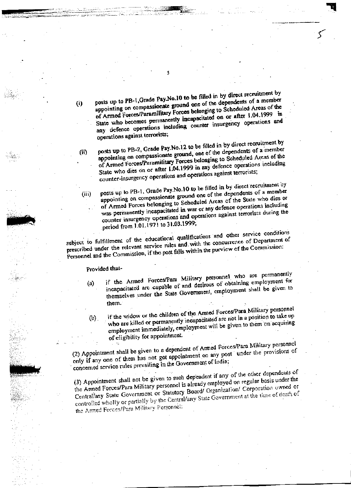posts up to PB-1, Grade Pay.No.10 to be filled in by direct recruitment by appointing on compassionate ground one of the dependents of a member of Armed Forces/Paramilitary Forces belonging to Scheduled Areas of the State who becomes permanently incapacitated on or after 1.04.1999 in any defence operations including counter insurgency operations and operations against terrorists;

posts up to PB-2, Grade Pay.No.12 to be filled in by direct recruitment by appointing on compassionate ground, one of the dependents of a member of Armed Forces/Paramilitary Forces belonging to Scheduled Areas of the State who dies on or after 1.04.1999 in any defence operations including counter-insurgency operations and operations against terrorists;

posts up to PB-1, Grade Pay No.10 to be filled in by direct recruitment by appointing on compassionate ground one of the dependents of a member of Armed Forces belonging to Scheduled Areas of the State who dies or was permanently incapacitated in war or any defence operations including counter insurgency operations and operations against terrorists during the period from 1.01.1971 to 31.03.1999;

subject to fulfillment of the educational qualifications and other service conditions prescribed under the relevant service rules and with the concurrence of Department of Personnel and the Commission, if the post falls within the purview of the Commission:

Provided that-

 $(i)$ 

 $(ii)$ 

 $(iii)$ 

- if the Armed Forces/Para Military personnel who are permanently incapacitated are capable of and desirous of obtaining employment for  $(a)$ themselves under the State Government, employment shall be given to them.
- if the widow or the children of the Armed Forces/Para Military personnel who are killed or permanently incapacitated are not in a position to take up  $(b)$ . employment immediately, employment will be given to them on acquiring of eligibility for appointment.

(2) Appointment shall be given to a dependent of Armed Forces/Para Military personnel only if any one of them has not got appointment on any post under the provisions of concerned service rules prevailing in the Government of India;

(3) Appointment shall not be given to such dependent if any of the other dependents of the Armed Forces/Para Military personnel is already employed on regular basis under the Central/any State Government or Statutory Board/ Organization/ Corporation owned or controlled wholly or partially by the Central/any State Government at the time of death of the Armed Forces/Para Military Personnel: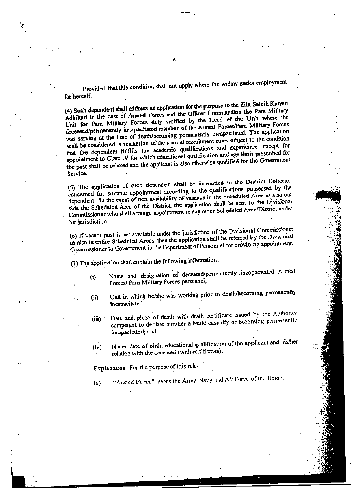Provided that this condition shall not apply where the widow seeks employment for herself.

(4) Such dependent shall address an application for the purpose to the Zila Seinik Kalyan Adhikari in the case of Armed Forces and the Officer Commanding the Para Military Unit for Para Military Forces duly verified by the Head of the Unit where the deceased/permanently incapacitated member of the Armed Forces/Para Military Forces was serving at the time of death/becoming permanently incapacitated. The application shall be considered in relaxation of the normal recruitment rules subject to the condition that the dependent fulfills the academic qualifications and experience, except for appointment to Class IV for which educational qualification and age limit prescribed for the post shall be relaxed and the applicant is also otherwise qualified for the Government Service.

(5) The application of such dependent shall be forwarded to the District Collector concerned for suitable appointment according to the qualifications possessed by the dependent. In the event of non availability of vacancy in the Scheduled Area as also out side the Scheduled Area of the District, the application shall be sent to the Divisional Commissioner who shall arrange appointment in any other Scheduled Area/District under his jurisdiction.

(6) If vacant post is not available under the jurisdiction of the Divisional Commissioner as also in entire Scheduled Areas, then the application shall be referred by the Divisional Commissioner to Government in the Department of Personnel for providing appointment.

(7) The application shall contain the following information:-

Name and designation of deceased/permanently incapacitated Armed  $\bf{a}$ Forces/ Para Military Forces personnel;

Unit in which he/she was working prior to death/becoming permanently (ji). incapacitated;

Date and place of death with death certificate issued by the Authority  $(iii)$ competent to declare him/her a battle casualty or becoming permanently incapacitated; and

Name, date of birth, educational qualification of the applicant and his/her  $(iv)$ relation with the deceased (with certificates).

Explanation: For the purpose of this rule-

"Armed Force" means the Army, Navy and Air Force of the Union.  $(a)$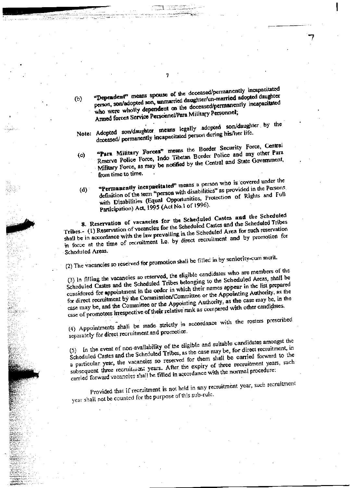- "Dependent" means spouse of the deceased/permanently incapacitated person, son/adopted son, unmarried daughter/un-married adopted daughter  $\circ$ who were wholly dependent on the deceased/permanently incapacitated Armed forces Service Personnel/Para Military Personnel;
- Note: Adopted son/daughter means legally adopted son/daughter by the deceased/ permanently incapacitated person during his/her life.
- "Para Military Forces" means the Border Security Force, Central Reserve Police Force, Indo Tibetan Border Police and any other Para  $(c)$ Military Force, as may be notified by the Central and State Government, from time to time.
- "Permanently incapacitated" means a person who is covered under the definition of the term "person with disabilities" as provided in the Persons  $(d)$ with Disabilities (Equal Opportunities, Protection of Rights and Full Participation) Act, 1995 (Act No.1 of 1996).

8. Reservation of vacancies for the Scheduled Castes and the Scheduled Tribes.- (1) Reservation of vacancies for the Scheduled Castes and the Scheduled Tribes shall be in accordance with the law prevailing in the Scheduled Area for such reservation in force at the time of recruitment i.e. by direct recruitment and by promotion for Scheduled Areas.

(2) The vacancies so reserved for promotion shall be filled in by seniority-cum merit.

(3) In filling the vacancies so reserved, the eligible candidates who are members of the Scheduled Castes and the Scheduled Tribes belonging to the Scheduled Areas, shall be considered for appointment in the order in which their names appear in the list prepared for direct recruitment by the Commission/Committee or the Appointing Authority, as the case may be, and the Committee or the Appointing Authority, as the case may be, in the case of promotoes irrespective of their relative rank as compared with other candidates.

(4) Appointments shall be made strictly in accordance with the rosters prescribed separately for direct recruitment and promotion.

(5) In the event of non-availability of the eligible and suitable candidates amongst the Scheduled Castes and the Scheduled Tribes, as the case may be, for direct recruitment, in a particular year, the vacancies so reserved for them shall be carried forward to the subsequent three recruitment years. After the expiry of three recruitment years, such carried forward vocancies shall be filled in accordance with the normal procedure:

Provided that if recruitment is not held in any recruitment year, such recruitment year shall not be counted for the purpose of this sub-rule.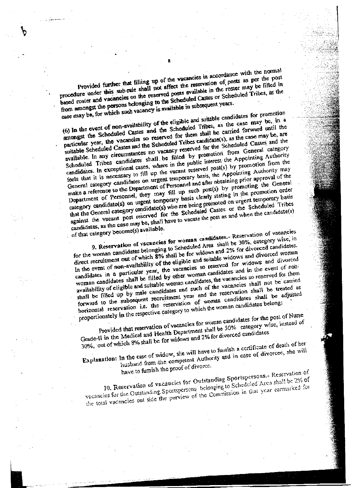Provided further that filling up of the vacancies in accordance with the normal procedure under this sub-rule shall not affect the reservation of posts as per the post based roster and vacancies on the reserved posts available in the roster may be filled in from amongst the persons belonging to the Scheduled Castes or Scheduled Tribes, as the case may be, for which such vacancy is available in subsequent years.

(6) In the event of non-availability of the eligible and suitable candidates for promotion amongst the Scheduled Castes and the Scheduled Tribes, as the case may be, in a particular year, the vacancies so reserved for them shall be carried forward until the suitable Scheduled Castes and the Scheduled Tribes candidate(s), as the case may be, are available. In any circumstances no vacancy reserved for the Scheduled Castes and the Scheduled Tribes candidates shall be filled by promotion from General category candidates. In exceptional cases, where in the public interest the Appointing Authority feels that it is necessary to fill up the vacant reserved post(s) by promotion from the General category candidates on urgent temporary basis, the Appointing Authority may make a reference to the Department of Personnel and after obtaining prior approval of the Department of Personnel, they may fill up such post(s) by promoting the General category candidate(s) on urgent temporary basis clearly stating in the promotion order that the General category candidate(s) who are being promoted on urgent temporary basis against the vacant post reserved for the Scheduled Castes or the Scheduled Tribes candidates, as the case may be, shall have to vacate the post as and when the candidate(s)

of that category become(s) available.

9. Reservation of vacancies for woman candidates.- Reservation of vacancies for the woman candidates belonging to Scheduled Area shall be 30%, category wise, in direct recruitment out of which 8% shall be for widows and 2% for divorced candidates. In the event of non-availability of the eligible and suitable widows and divorced woman candidates in a particular year, the vacancies so reserved for widows and divorced woman candidates shall be filled by other woman candidates and in the event of nonavailability of cligible and suitable woman candidates, the vacancies so reserved for them shall be filled up by male candidates and such of the vacancies shall not be carried forward to the subsequent recruitment year and the reservation shall be treated as horizontal reservation i.e. the reservation of woman candidates shall be adjusted proportionately in the respective category to which the woman candidates belong:

Provided that reservation of vacancies for woman candidates for the post of Nurse Grade-II in the Medical and Health Department shall be 50% category wise, instead of 30%, out of which 8% shall be for widows and 2% for divorced candidates

Explanation: In the case of widow, she will have to furnish a certificate of death of her husband from the competent Authority and in case of divorcee, she will

have to furnish the proof of divorce.

10. Reservation of vacancies for Outstanding Sportspersons.- Reservation of vacancies for the Outstanding Sportspersons belonging to Scheduled Area shall be 2% of the total vacancies out side the purview of the Commission in that year earmarked for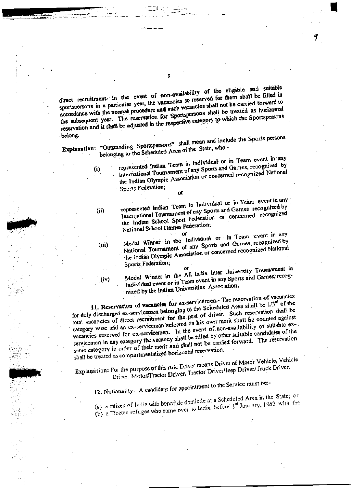direct recruitment. In the event of non-availability of the eligible and suitable sportspersons in a particular year, the vacancies so reserved for them shall be filled in accordance with the normal procedure and such vacancies shall not be carried forward to the subsequent year. The reservation for Sportspersons shall be treated as horizontal reservation and it shall be adjusted in the respective category to which the Sportspersons belong.

Explanation: "Outstanding Sportspersons" shall mean and include the Sports persons belonging to the Scheduled Area of the State, who .-

represented Indian Team in Individual or in Team event in any International Tournament of any Sports and Games, recognized by the Indian Olympic Association or concerned recognized National Sperts Federation;

J

 $\sigma$ represented Indian Team in Individual or in Team event in any

International Tournament of any Sports and Games, recognized by the Indian School Sport Federation or concerned recognized National School Games Federation;

Medal Winner in the Individual or in Team event in any National Tournament of any Sports and Games, recognized by the Indian Olympic Association or concerned recognized National Sports Federation;

 $(iv)$ 

 $(i)$ 

 $(i)$ 

 $(iii)$ 

Medal Winner in the All India Inter University Tournament in Individual event or in Team event in any Sports and Games, recognized by the Indian Universities Association.

11. Reservation of vacancies for ex-servicemen. The reservation of vacancies for duly discharged ex-servicemen belonging to the Scheduled Area shall be  $1/3^{rd}$  of the total vacancies of direct recruitment for the post of driver. Such reservation shall be category wise and an ex-serviceman selected on his own merit shall be counted against vacancies reserved for ex-servicemen. In the event of non-availability of suitable exservicemen in any category the vacancy shall be filled by other suitable candidates of the same category in order of their merit and shall not be carried forward. The reservation shall be treated as compartmentalized horizontal reservation.

Explanation: For the purpose of this rule Driver means Driver of Motor Vehicle, Vehicle Driver. Motor/Tractor Driver, Tractor Driver/Jeep Driver/Truck Driver.

12. Nationality .- A candidate for appointment to the Service must be:-

(a) a citizen of India with bonafide domicile at a Scheduled Area in the State; or (b) a Tibetan refugee who came over to India before  $1^{st}$  January, 1962 with the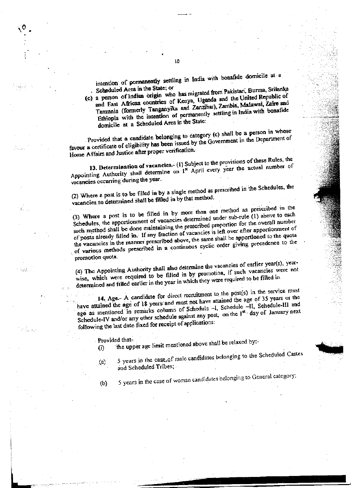intention of permanently settling in India with bonafide domicile at a Scheduled Area in the State; or

(c) a person of Indian origin who has migrated from Pakistan, Burma, Srilanka

and East African countries of Kenya, Uganda and the United Republic of Tanzania (formerly Tanganyika and Zanzibar), Zambia, Malawai, Zaire and Ethiopia with the intention of permanently settling in India with bonafide domicile at a Scheduled Area in the State:

Provided that a candidate belonging to category (c) shall be a person in whose favour a certificate of cligibility has been issued by the Government in the Department of Home Affairs and Justice after proper verification.

13. Determination of vacancies.- (1) Subject to the provisions of these Rules, the Appointing Authority shall determine on 1<sup>st</sup> April every year the actual number of vacancies occurring during the year.

(2) Where a post is to be filled in by a single method as prescribed in the Schedules, the vacancies so determined shall be filled in by that method.

(3) Where a post is to be filled in by more than one method as prescribed in the Schedules, the apportionment of vacancies determined under sub-rule (1) above to each such method shall be done maintaining the prescribed proportion for the overall number of posts already filled in. If any fraction of vacancies is left over after apportionment of the vacancies in the manner prescribed above, the same shall be apportioned to the quota of various methods prescribed in a continuous cyclic order giving precedence to the promotion quota.

(4) The Appointing Authority shall also determine the vacancies of earlier year(s), yearwise, which were required to be filled in by promotion, if such vacancies were not determined and filled earlier in the year in which they were required to be filled in.

14. Age.- A candidate for direct recruitment to the post(s) in the service must have attained the age of 18 years and must not have attained the age of 35 years or the age as mentioned in remarks column of Schedule -1, Schedule -II, Schedule-III and Schedule-IV and/or any other schedule against any post, on the 1st day of January next following the last date fixed for receipt of applications:

Provided that-

the upper age limit mentioned above shall be relaxed by:- $(i)$ 

5 years in the case of male candidates belonging to the Scheduled Castes  $\langle x \rangle$ and Scheduled Tribes;

 $(b)$ 

이 남도.

5 years in the case of woman candidates belonging to General category;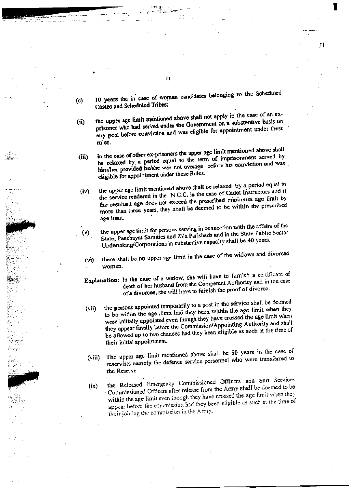10 years the in case of woman candidates belonging to the Scheduled  $(c)$ Castes and Scheduled Tribes;

Ħ

the upper age limit mentioned above shall not apply in the case of an exprisoner who had served under the Government on a substantive basis on  $(ii)$ any post before conviction and was eligible for appointment under these rules.

in the case of other ex-prisoners the upper age limit mentioned above shall be relaxed by a period equal to the term of imprisonment served by  $(iii)$ him/her provided he/she was not overage before his conviction and was eligible for appointment under these Rules.

the upper age limit mentioned above shall be relaxed by a period equal to the service rendered in the N.C.C. in the case of Cadet instructors and if  $(iv)$ the resultant age does not exceed the prescribed minimum age limit by more than three years, they shall be deemed to be within the prescribed age limit.

the upper age limit for persons serving in connection with the affairs of the State, Panchayat Samities and Zila Parishads and in the State Public Sector  $(v)$ Undertaking/Corporations in substantive capacity shall be 40 years.

there shall be no upper age limit in the case of the widows and divorced  $(v<sub>i</sub>)$ women.

Explanation: In the case of a widow, she will have to furnish a certificate of death of her husband from the Competent Authority and in the case of a divorcee, she will have to furnish the proof of divorce.

the persons appointed temporarily to a post in the service shall be deemed to be within the age limit had they been within the age limit when they (vii) were initially appointed even though they have crossed the age limit when they appear finally before the Commission/Appointing Authority and shall be allowed up to two chances had they been eligible as such at the time of their initial appointment.

The upper age limit mentioned above shall be 50 years in the case of reservists namely the defence service personnel who were transferred to  $(viii)$ the Reserve.

the Released Emergency Commissioned Officers and Sort Services Commissioned Officers after release from the Army shall be deemed to be  $(ix)$ within the age limit even though they have crossed the age limit when they appear before the commission had they been eligible as such at the time of their joining the commission in the Army.

 $\mathbf{1}$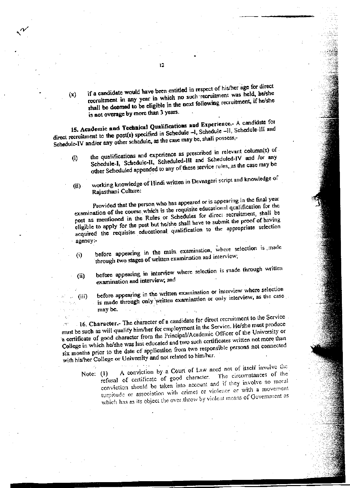if a candidate would have been entitled in respect of his/her age for direct recruitment in any year in which no such recruitment was held, he/she  $(x)$ shall be deemed to be eligible in the next following recruitment, if he/she is not overage by more than 3 years.

15. Academic and Technical Qualifications and Experience. - A candidate for direct recruitment to the post(s) specified in Schedule -1, Schedule -11, Schedule-III and Schedule-IV and/or any other schedule, as the case may be, shall possess,-

- the qualifications and experience as prescribed in relevant column(s) of Schedule-I, Schedule-II, Scheduled-III and Scheduled-IV and /or any  $\left\langle i\right\rangle$ other Scheduled appended to any of these service rules, as the case may be
- working knowledge of Hindi written in Devnagari script and knowledge of  $(ii)$ Rajasthani Culture:

Provided that the person who has appeared or is appearing in the final year examination of the course which is the requisite educational qualification for the post as mentioned in the Rules or Schedules for direct recruitment, shall be eligible to apply for the post but he/she shall have to submit the proof of having acquired the requisite educational qualification to the appropriate selection agency:-

- before appearing in the main examination, where selection is made through two stages of written examination and interview;  $\ddot{\omega}$
- before appearing in interview where selection is made through written  $(ii)$ examination and interview; and

before appearing in the written examination or interview where selection is made through only written examination or only interview, as the case may be.

16. Character.- The character of a candidate for direct recruitment to the Service must be such as will qualify him/her for employment in the Service. He/she must produce a certificate of good character from the Principal/Academic Officer of the University or College in which he/she was last educated and two such certificates written not more than six months prior to the date of application from two responsible persons not connected with his/her College or University and not related to him/her.

(iii)

A conviction by a Court of Law need not of itself involve the refusal of certificate of good character. The circumstances of the Note:  $(1)$ conviction should be taken into account and if they involve no moral turpitude or association with crimes or violence or with a movement which has as its object the over throw by violent means of Government as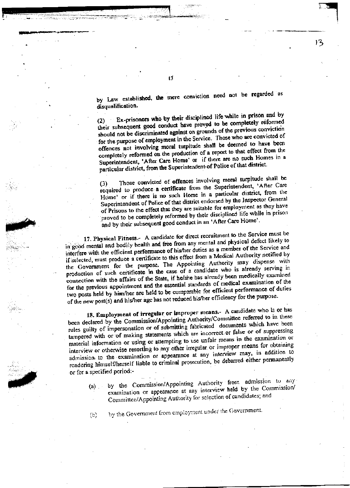by Law established, the mere conviction need not be regarded as disqualification.

13

Ex-prisoners who by their disciplined life while in prison and by their subsequent good conduct have proved to be completely reformed should not be discriminated against on grounds of the previous conviction for the purpose of employment in the Service. Those who are convicted of offences not involving moral turpitude shall be deemed to have been completely reformed on the production of a report to that effect from the Superintendent, 'After Care Home' or if there are no such Homes in a particular district, from the Superintendent of Police of that district.

Those convicted of offences involving moral turpitude shall be required to produce a certificate from the Superintendent, 'After Care Home' or if there is no such Home in a particular district, from the Superintendent of Police of that district endorsed by the Inspector General of Prisons to the effect that they are suitable for employment as they have proved to be completely reformed by their disciplined life while in prison and by their subsequent good conduct in an 'After Care Home'.

17. Physical Fitness.- A candidate for direct recruitment to the Service must be in good mental and bodily health and free from any mental and physical defect likely to interfere with the efficient performance of his/her duties as a member of the Service and if selected, must produce a certificate to this effect from a Medical Authority notified by the Government for the purpose. The Appointing Authority may dispense with production of such certificate in the case of a candidate who is already serving in connection with the affairs of the State, if he/she has already been medically examined for the previous appointment and the essential standards of medical examination of the two posts held by him/her are held to be comparable for efficient performance of duties of the new post(s) and his/her age has not reduced his/her efficiency for the purpose.

18. Employment of irregular or improper means.- A candidate who is or has been declared by the Commission/Appointing Authority/Committee referred to in these rules guilty of impersonation or of submitting fabricated documents which have been tampered with or of making statements which are incorrect or false or of suppressing material information or using or attempting to use unfair means in the examination or interview or otherwise resorting to any other irregular or improper means for obtaining admission to the examination or appearance at any interview may, in addition to rendering himself/herself liable to criminal prosecution, be debarred either permanently or for a specified period:-

by the Commission/Appointing Authority from admission to any  $(a)$ . examination or appearance at any interview held by the Commission/ Committee/Appointing Authority for selection of candidates; and

by the Government from employment under the Government.  $(b)$ 

 $\overline{13}$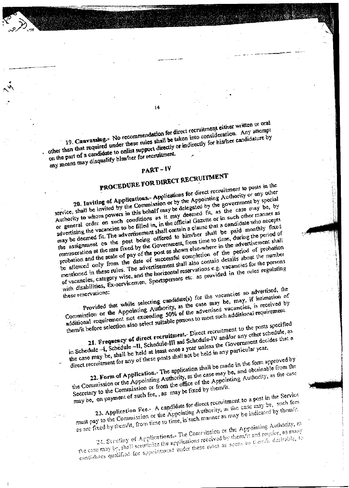19. Canvassing.- No recommendation for direct recruitment either written or oral other than that required under these rules shall be taken into consideration. Any attempt on the part of a candidate to enlist support directly or indirectly for his/her candidature by

any means may disqualify him/her for recruitment.

### $PART - IV$

# PROCEDURE FOR DIRECT RECRUITMENT

20. Inviting of Applications.- Applications for direct recruitment to posts in the service, shall be invited by the Commission or by the Appointing Authority or any other Authority to whom powers in this behalf may be delegated by the government by special or general order on such conditions as it may deemed fit, as the case may be, by advertising the vacancies to be filled in, in the official Gazette or in such other manner as may be deemed fit. The advertisement shall contain a clause that a candidate who accepts the assignment on the post being offered to him/her shall be paid monthly fixed remuneration at the rate fixed by the Government, from time to time, during the period of probation and the scale of pay of the post as shown else-where in the advertisement shall be allowed only from the date of successful completion of the period of probation mentioned in these rules. The advertisement shall also contain details about the number of vacancies, category wise, and the horizontal reservations e.g. vacancies for the persons with disabilities, Ex-servicemen, Sportspersons etc. as provided in the rules regulating

Provided that while selecting candidate(s) for the vacancies so advertised, the these reservations: Commission or the Appointing Authority, as the case may be, may, if intimation of additional requirement not exceeding 50% of the advertised vacancies, is received by them/it before selection also select suitable persons to meet such additional requirement.

21. Frequency of direct recruitment. Direct recruitment to the posts specified in Schedule -- I, Schedule -- II, Schedule -- III and Schedule -- IV and/or any other schedule, as the case may be, shall be held at least once a year unless the Government decides that a

direct recruitment for any of these posts shall not be held in any particular year. 22. Form of Application. The application shall be made in the form approved by

the Commission or the Appointing Authority, as the case may be, and obtainable from the Secretary to the Commission or from the office of the Appointing Authority, as the case may be, on payment of such fee, , as may be fixed by them/it.

23. Application Fee- A candidate for direct recruitment to a post in the Service must pay to the Commission or the Appointing Authority, as the case may be, such fees as are fixed by them/it, from time to time, in such manner as may be indicated by them/it.

24. Serviny of Applications.- The Commission or the Appointing Authority, es the case may be, shall scrutinize the applications received by them/it and require, as many candidates qualified for eppointment under these rules as seem to them/h desirable, to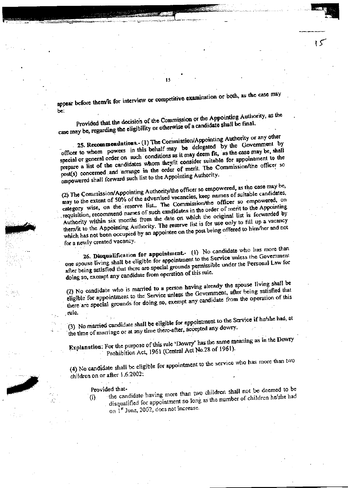appear before them/it for interview or competitive examination or both, as the case may be.

 $15$ 

Provided that the decision of the Commission or the Appointing Authority, as the case may be, regarding the eligibility or otherwise of a candidate shall be final.

25. Recommendations.- (1) The Commission/Appointing Authority or any other officer to whom powers in this behalf may be delegated by the Government by special or general order on such conditions as it may deem fit, as the case may be, shall prepare a list of the candidates whom they/it consider suitable for appointment to the post(s) concerned and arrange in the order of merit. The Commission/the officer so empowered shall forward such list to the Appointing Authority.

(2) The Commission/Appointing Authority/the officer so empowered, as the case may be, may to the extent of 50% of the advertised vacancies, keep names of suitable candidates, category wise, on the reserve list.. The Commission/the officer so empowered, on requisition, recommend names of such candidates in the order of merit to the Appointing Authority within six months from the date on which the original list is forwarded by them/it to the Appointing Authority. The reserve list is for use only to fill up a vacancy which has not been occupied by an appointee on the post being offered to him/her and not for a newly created vacancy.

26. Disqualification for appointment. (1) No candidate who has more than one spouse living shall be eligible for appointment to the Service unless the Government after being satisfied that there are special grounds permissible under the Personal Law for doing so, exempt any candidate from operation of this rule.

(2) No candidate who is married to a person having already the spouse living shall be eligible for appointment to the Service unless the Government, after being satisfied that there are special grounds for doing so, exempt any candidate from the operation of this rule.

(3) No married candidate shall be eligible for appointment to the Service if he/she had, at the time of marriage or at any time there-after, accepted any dowry.

Explanation: For the purpose of this rule 'Dowry' has the same meaning as in the Dowry Prohibition Act, 1961 (Central Act No.28 of 1961).

(4) No candidate shall be eligible for appointment to the service who has more than two children on or after 1.6.2002:

#### Provided that-

÷.

the candidate having more than two children shall not be deemed to be disqualified for appointment so long as the number of children he/she had  $(i)$ on 1st June, 2002, does not increase.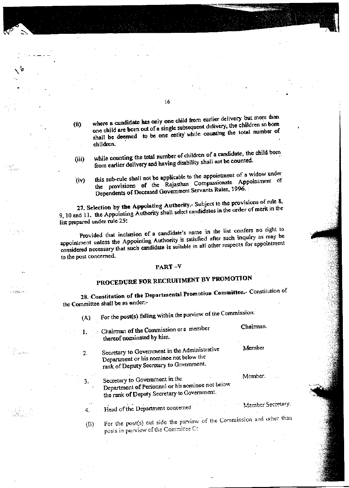where a candidate has only one child from earlier delivery but more than one child are born out of a single subsequent delivery, the children so born  $(ii)$ shall be deemed to be one entity while counting the total number of children.

while counting the total number of children of a candidate, the child born  $(iii)$ from earlier delivery and having disability shall not be counted.

this sub-rule shall not be applicable to the appointment of a widow under the provisions of the Rajasthan Compassionate Appointment of  $(iv)$ Dependents of Deceased Government Servants Rules, 1996.

27. Selection by the Appointing Authority.- Subject to the provisions of rule 8, 9, 10 and 11, the Appointing Authority shall select candidates in the order of merit in the list prepared under rule 25:

Provided that inclusion of a candidate's name in the list confers no right to appointment unless the Appointing Authority is satisfied after such inquiry as may be considered necessary that such candidate is suitable in all other respects for appointment to the post concerned.

#### PART-V

## PROCEDURE FOR RECRUITMENT BY PROMOTION

28. Constitution of the Departmental Promotion Committee.- Constitution of the Committee shall be as under:-

For the post(s) falling within the purview of the Commission:  $(A)$ 

Chairman of the Commission or a member .1. thereof nominated by him.

شاه کوه کرد.

.<br>Tagastan

- Secretary to Government in the Administrative  $2.$ Department or his nominee not below the rank of Deputy Secretary to Government.
	- Secretary to Government in the Department of Personnel or his nominee not below the rank of Deputy Secretary to Government.

Head of the Department concerned

3.

 $4.1$ 

For the post(s) out side the purview of the Commission and other than (B) posts in purview of the Committee C:

Chairman.

Member

Member.

Member Secretary.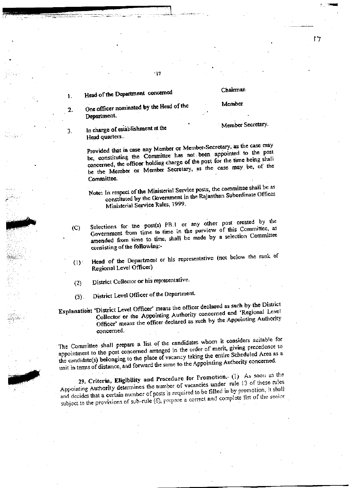#### Head of the Department concerned ١.

 $2.$ 

 $3.$ 

#### Chairman

けて

#### Member

Member Secretary.

- One officer nominated by the Head of the Department.
	- In charge of establishment at the Head quarters..

Provided that in case any Member or Member-Secretary, as the case may be, constituting the Committee has not been appointed to the post concerned, the officer holding charge of the post for the time being shall be the Member or Member Secretary, as the case may be, of the Committee.

- Note: In respect of the Ministerial Service posts, the committee shall be as constituted by the Government in the Rajasthan Subordinate Offices Ministerial Service Rules, 1999.
- Selections for the post(s) PB.1 or any other post created by the Government from time to time in the purview of this Committee, as  $(C)$ amended from time to time, shall be made by a selection Committee consisting of the following:-
- Head of the Department or his representative (not below the rank of  $(1)$ Regional Level Officer)
- District Collector or his representative.  $(2)$

District Level Officer of the Department.  $(3)$ .

Explanation: 'District Level Officer' means the officer declared as such by the District Collector or the Appointing Authority concerned and 'Regional Level Officer' means the officer declared as such by the Appointing Authority concerned.

The Committee shall prepare a list of the candidates whom it considers suitable for appointment to the post concerned arranged in the order of merit, giving precedence to the candidate(s) belonging to the place of vacancy taking the entire Scheduled Area as a unit in terms of distance, and forward the same to the Appointing Authority concerned.

29. Criteria, Eligibility and Procedure for Promotion. (1) As soon as the Appointing Authority determines the number of vacancies under rule 13 of these rules and decides that a certain number of posts is required to be filled in by promotion, it shall subject to the provisions of sub-rule (6), prepare a correct and complete list of the senior

#### $-17$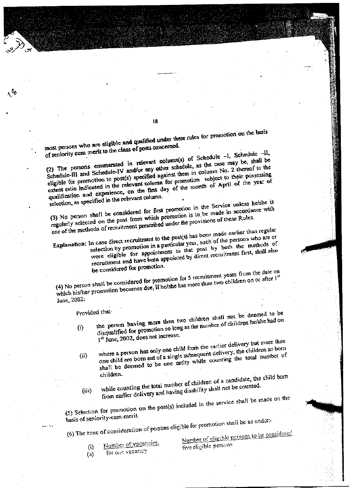most persons who are eligible and qualified under these rules for promotion on the basis of seniority cum merit to the class of posts concerned.

18

(2) The persons enumerated in relevant column(s) of Schedule -I, Schedule -il, Schedule-III and Schedule-IV and/or any other schedule, as the case may be, shall be eligible for promotion to post(s) specified against them in column No. 2 thereof to the extent ratio indicated in the relevant column for promotion subject to their possessing qualification and experience, on the first day of the month of April of the year of

selection, as specified in the relevant column.

 $\lambda^{b_0}$ 

(3) No person shall be considered for first promotion in the Service unless he/she is regularly selected on the post from which promotion is to be made in accordance with one of the methods of recruitment prescribed under the provisions of these Rules.

Explanation: In case direct recruitment to the post(s) has been made earlier than regular selection by promotion in a particular year, such of the persons who are or were eligible for appointment to that post by both the methods of recruitment and have been appointed by direct recruitment first, shall also be considered for promotion.

(4) No person shall be considered for promotion for 5 recruitment years from the date on which his/her promotion becomes due, if he/she has more than two children on or after 1<sup>st</sup> June, 2002:

Provided that-

the person having more than two children shall not be deemed to be disqualified for promotion so long as the number of children he/she had on  $(i)$ 1st June, 2002, does not increase.

where a person has only one child from the earlier delivery but more than one child are born out of a single subsequent delivery, the children so born shall be deemed to be one entity while counting the total number of  $(ii)$ children.

while counting the total number of children of a candidate, the child born from earlier delivery and having disability shall not be counted.  $(iii)$ 

(5) Selection for promotion on the post(s) included in the service shall be made on the

basis of seniority-cum-merit.

(6) The zone of consideration of persons eligible for promotion shall be as under:-

Number of vacancies,

Number of eligible persons to be considered five eligible persons

 $(i)$ for one vacancy  $(a)$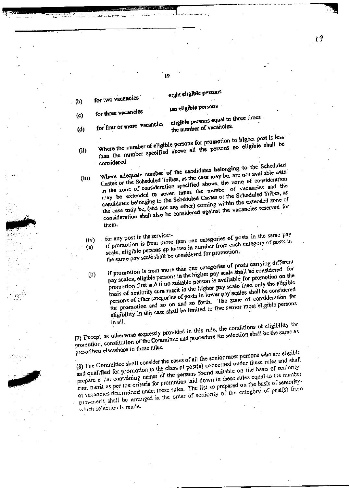eight eligible persons

ten eligible persons

for three vacancies  $(c)$ 

for two vacancies

for four or more vacancies  $(d)$ 

 $(iii)$ 

. (b)

eligible persons equal to three times. the number of vacancies.

Where the number of eligible persons for promotion to higher post is less than the number specified above all the persons so eligible shall be  $(i)$ considered.

Where adequate number of the candidates belonging to the Scheduled Castes or the Scheduled Tribes, as the case may be, are not available with in the zone of consideration specified above, the zone of consideration may be extended to seven times the number of vacancies and the candidates belonging to the Scheduled Castes or the Scheduled Tribes, as the case may be, (and not any other) coming within the extended zone of consideration shall also be considered against the vacancies reserved for them.

 $(iv)$  $(a)$ 

 $(b)$ 

if promotion is from more than one categories of posts in the same pay scale, eligible persons up to two in number from each category of posts in the same pay scale shall be considered for promotion.

if promotion is from more than one categories of posts carrying different pay scales, eligible persons in the higher pay scale shall be considered for promotion first and if no suitable person is available for promotion on the basis of seniority cum merit in the higher pay scale then only the eligible persons of other categories of posts in lower pay scales shall be considered for promotion and so on and so forth. The zone of consideration for eligibility in this case shall be limited to five senior most eligible persons in all.

(7) Except as otherwise expressly provided in this rule, the conditions of eligibility for promotion, constitution of the Committee and procedure for selection shall be the same as prescribed elsewhere in these rules.

(8) The Committee shall consider the cases of all the senior most persons who are eligible and qualified for promotion to the class of post(s) concerned under these rules and shall prepare a list containing names of the persons found suitable on the basis of senioritycum-merit as per the criteria for promotion laid down in these rules equal to the number of vacancies determined under these rules. The list so prepared on the basis of senioritycum-merit shall be arranged in the order of seniority of the category of post(s) from which selection is made.

 $\mathfrak{c}$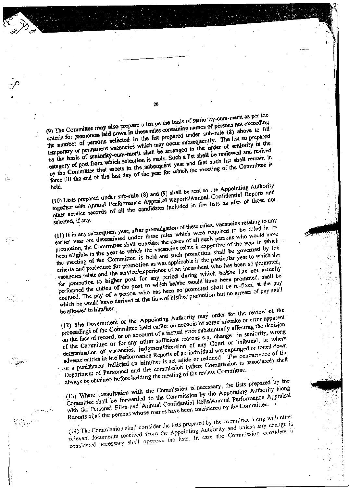(9) The Committee may also prepare a list on the basis of seniority-cum-merit as per the criteria for promotion laid down in these rules containing names of persons not exceeding the number of persons selected in the list prepared under sub-rule (8) above to fill temporary or permanent vacancies which may occur subsequently. The list so prepared on the basis of seniority-cum-merit shall be arranged in the order of seniority in the category of post from which selection is made. Such a list shall be reviewed and revised by the Committee that meets in the subsequent year and that such list shall remain in force till the end of the last day of the year for which the meeting of the Committee is

(10) Lists prepared under sub-rule (8) and (9) shall be sent to the Appointing Authority held. together with Annual Performance Appraisal Reports/Annual Confidential Reports and other service records of all the candidates included in the lists as also of those not

(11) If in any subsequent year, after promulgation of these rules, vacancies relating to any earlier year are determined under these rules which were required to be filled in by promotion, the Committee shall consider the cases of all such persons who would have been eligible in the year to which the vacancies relate irrespective of the year in which the meeting of the Committee is held and such promotion shall be governed by the criteria and procedure for promotion as was applicable in the particular year to which the vacancies relate and the service/experience of an incumbent who has been so promoted, for promotion to higher post for any period during which he/she has not actually performed the duties of the post to which he/she would have been promoted, shall be counted. The pay of a person who has been so promoted shall be re-fixed at the pay which he would have derived at the time of his/her promotion but no arrears of pay shall be allowed to him/her.

(12) The Government or the Appointing Authority may order for the review of the proceedings of the Committee held earlier on account of some mistake or error apparent on the face of record, or on account of a factual error substantially affecting the decision of the Committee or for any other sufficient reasons e.g. change in seniority, wrong determination of vacancies, judgment/direction of any Court or Tribunal, or where adverse entries in the Performance Reports of an individual are expunged or toned down for a punishment inflicted on him/her is set aside or reduced. The concurrence of the Department of Personnel and the commission (where Commission is associated) shall always be obtained before holding the meeting of the review Committee.

(13) Where consultation with the Commission is necessary, the lists prepared by the Committee shall be forwarded to the Commission by the Appointing Authority along with the Personal Files and Annual Confidential Rolls/Annual Performance Appraisal Reports of all the persons whose names have been considered by the Committee.

(14) The Commission shall consider the lists prepared by the committee along with other relevant documents received from the Appointing Authority and unless any change is considered necessary shall approve the lists. In case the Commission considers it